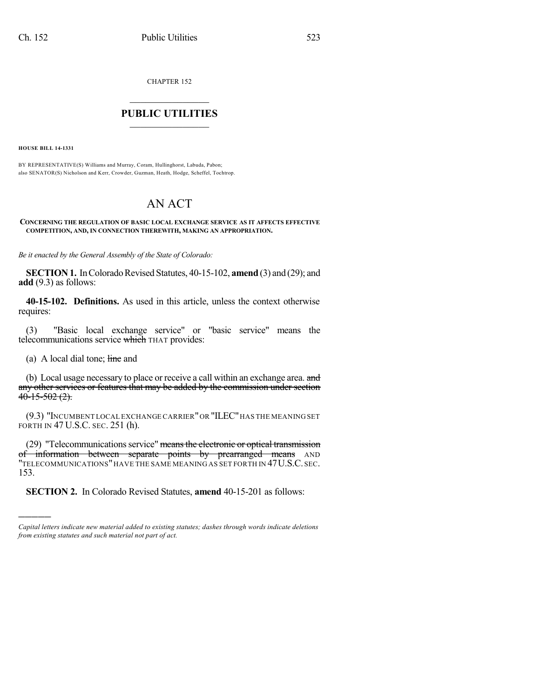CHAPTER 152

## $\mathcal{L}_\text{max}$  . The set of the set of the set of the set of the set of the set of the set of the set of the set of the set of the set of the set of the set of the set of the set of the set of the set of the set of the set **PUBLIC UTILITIES** \_\_\_\_\_\_\_\_\_\_\_\_\_\_\_

**HOUSE BILL 14-1331**

BY REPRESENTATIVE(S) Williams and Murray, Coram, Hullinghorst, Labuda, Pabon; also SENATOR(S) Nicholson and Kerr, Crowder, Guzman, Heath, Hodge, Scheffel, Tochtrop.

## AN ACT

## **CONCERNING THE REGULATION OF BASIC LOCAL EXCHANGE SERVICE AS IT AFFECTS EFFECTIVE COMPETITION, AND, IN CONNECTION THEREWITH, MAKING AN APPROPRIATION.**

*Be it enacted by the General Assembly of the State of Colorado:*

**SECTION 1.** In Colorado Revised Statutes, 40-15-102, **amend** (3) and (29); and **add** (9.3) as follows:

**40-15-102. Definitions.** As used in this article, unless the context otherwise requires:

(3) "Basic local exchange service" or "basic service" means the telecommunications service which THAT provides:

(a) A local dial tone;  $\frac{1}{2}$  ine and

)))))

(b) Local usage necessary to place or receive a call within an exchange area. and any other services or features that may be added by the commission under section  $40-15-502(2)$ .

(9.3) "INCUMBENT LOCAL EXCHANGE CARRIER"OR "ILEC"HAS THE MEANING SET FORTH IN 47 U.S.C. SEC. 251 (h).

(29) "Telecommunications service" means the electronic or optical transmission of information between separate points by prearranged means AND "TELECOMMUNICATIONS"HAVE THE SAME MEANING AS SET FORTH IN 47U.S.C. SEC. 153.

**SECTION 2.** In Colorado Revised Statutes, **amend** 40-15-201 as follows:

*Capital letters indicate new material added to existing statutes; dashes through words indicate deletions from existing statutes and such material not part of act.*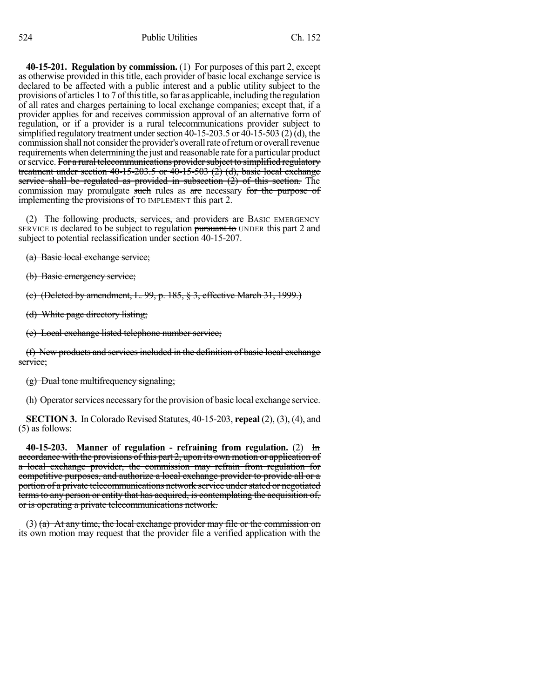**40-15-201. Regulation by commission.** (1) For purposes of this part 2, except as otherwise provided in this title, each provider of basic local exchange service is declared to be affected with a public interest and a public utility subject to the provisions of articles 1 to 7 of this title, so far as applicable, including the regulation of all rates and charges pertaining to local exchange companies; except that, if a provider applies for and receives commission approval of an alternative form of regulation, or if a provider is a rural telecommunications provider subject to simplified regulatory treatment under section  $40-15-203.5$  or  $40-15-503$  (2) (d), the commission shall not consider the provider's overall rate of return or overall revenue requirements when determining the just and reasonable rate for a particular product or service. For a rural telecommunications provider subject to simplified regulatory treatment under section 40-15-203.5 or 40-15-503  $(2)$  (d), basic local exchange service shall be regulated as provided in subsection  $(2)$  of this section. The commission may promulgate such rules as are necessary for the purpose of **implementing the provisions of** TO IMPLEMENT this part 2.

(2) The following products, services, and providers are BASIC EMERGENCY SERVICE IS declared to be subject to regulation pursuant to UNDER this part 2 and subject to potential reclassification under section 40-15-207.

(a) Basic local exchange service;

(b) Basic emergency service;

(c) (Deleted by amendment, L. 99, p. 185, § 3, effective March 31, 1999.)

(d) White page directory listing;

(e) Local exchange listed telephone number service;

(f) New products and services included in the definition of basic local exchange service;

(g) Dual tone multifrequency signaling;

(h) Operatorservices necessaryforthe provision of basic local exchange service.

**SECTION 3.** In Colorado Revised Statutes, 40-15-203, **repeal** (2), (3), (4), and (5) as follows:

**40-15-203. Manner of regulation - refraining from regulation.** (2) In accordance with the provisions of this part 2, upon its own motion or application of a local exchange provider, the commission may refrain from regulation for competitive purposes, and authorize a local exchange provider to provide all or a portion of a private telecommunications network service understated or negotiated termsto any person or entity that has acquired, is contemplating the acquisition of, or is operating a private telecommunications network.

(3) (a) At any time, the local exchange provider may file or the commission on its own motion may request that the provider file a verified application with the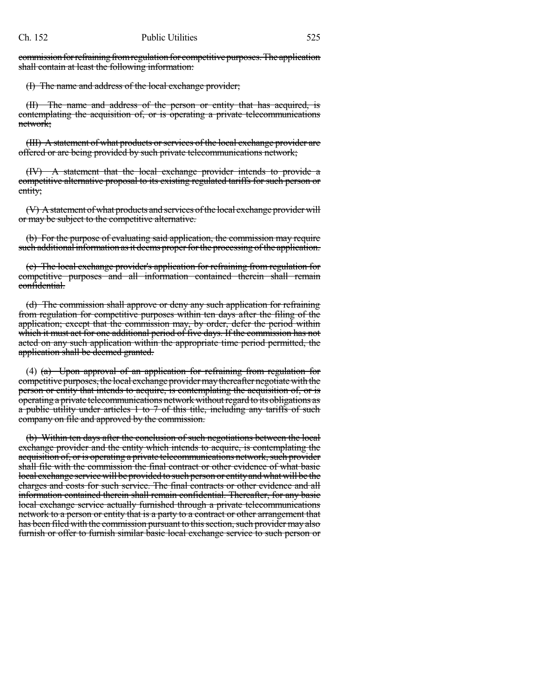commission for refraining from regulation for competitive purposes. The application shall contain at least the following information:

(I) The name and address of the local exchange provider;

(II) The name and address of the person or entity that has acquired, is contemplating the acquisition of, or is operating a private telecommunications network;

(III) A statement of what products orservices of the local exchange provider are offered or are being provided by such private telecommunications network;

(IV) A statement that the local exchange provider intends to provide a competitive alternative proposal to its existing regulated tariffs for such person or entity;

(V) A statement of what products and services of the local exchange provider will or may be subject to the competitive alternative.

(b) For the purpose of evaluating said application, the commission may require such additional information as it deems proper for the processing of the application.

(c) The local exchange provider's application for refraining from regulation for competitive purposes and all information contained therein shall remain confidential.

(d) The commission shall approve or deny any such application for refraining from regulation for competitive purposes within ten days after the filing of the application; except that the commission may, by order, defer the period within which it must act for one additional period of five days. If the commission has not acted on any such application within the appropriate time period permitted, the application shall be deemed granted.

(4)  $(a)$  Upon approval of an application for refraining from regulation for competitive purposes, the local exchange providermaythereafter negotiatewith the person or entity that intends to acquire, is contemplating the acquisition of, or is operating a private telecommunications network withoutregard to its obligations as a public utility under articles 1 to 7 of this title, including any tariffs of such company on file and approved by the commission.

(b) Within ten days after the conclusion of such negotiations between the local exchange provider and the entity which intends to acquire, is contemplating the acquisition of, or is operating a private telecommunications network, such provider shall file with the commission the final contract or other evidence of what basic local exchange service will be provided to such person or entityandwhat will be the charges and costs for such service. The final contracts or other evidence and all information contained therein shall remain confidential. Thereafter, for any basic local exchange service actually furnished through a private telecommunications network to a person or entity that is a party to a contract or other arrangement that has been filed with the commission pursuant to this section, such provider may also furnish or offer to furnish similar basic local exchange service to such person or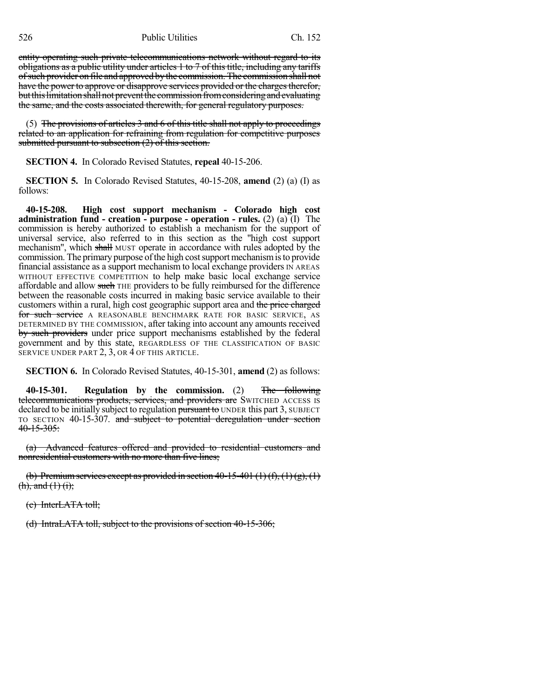526 Public Utilities Ch. 152

entity operating such private telecommunications network without regard to its obligations as a public utility under articles 1 to 7 of this title, including any tariffs ofsuch provider on file and approved bythe commission. The commission shall not have the power to approve or disapprove services provided or the charges therefor, but this limitation shall not prevent the commission from considering and evaluating the same, and the costs associated therewith, for general regulatory purposes.

(5) The provisions of articles  $3$  and  $6$  of this title shall not apply to proceedings related to an application for refraining from regulation for competitive purposes submitted pursuant to subsection (2) of this section.

**SECTION 4.** In Colorado Revised Statutes, **repeal** 40-15-206.

**SECTION 5.** In Colorado Revised Statutes, 40-15-208, **amend** (2) (a) (I) as follows:

**40-15-208. High cost support mechanism - Colorado high cost administration fund - creation - purpose - operation - rules.** (2) (a) (I) The commission is hereby authorized to establish a mechanism for the support of universal service, also referred to in this section as the "high cost support mechanism", which shall MUST operate in accordance with rules adopted by the commission. The primary purpose of the high cost support mechanism is to provide financial assistance as a support mechanism to local exchange providers IN AREAS WITHOUT EFFECTIVE COMPETITION to help make basic local exchange service affordable and allow such THE providers to be fully reimbursed for the difference between the reasonable costs incurred in making basic service available to their customers within a rural, high cost geographic support area and the price charged for such service A REASONABLE BENCHMARK RATE FOR BASIC SERVICE, AS DETERMINED BY THE COMMISSION, after taking into account any amounts received by such providers under price support mechanisms established by the federal government and by this state, REGARDLESS OF THE CLASSIFICATION OF BASIC SERVICE UNDER PART 2, 3, OR 4 OF THIS ARTICLE.

**SECTION 6.** In Colorado Revised Statutes, 40-15-301, **amend** (2) as follows:

**40-15-301. Regulation by the commission.** (2) The following telecommunications products, services, and providers are SWITCHED ACCESS IS declared to be initially subject to regulation pursuant to UNDER this part 3, SUBJECT TO SECTION 40-15-307. and subject to potential deregulation under section  $40 - 15 - 305$ :

(a) Advanced features offered and provided to residential customers and nonresidential customers with no more than five lines;

(b) Premium services except as provided in section 40-15-401 (1) (f), (1) (g), (1)  $(h)$ , and  $(1)$  (i);

(c) InterLATA toll;

(d) IntraLATA toll, subject to the provisions of section 40-15-306;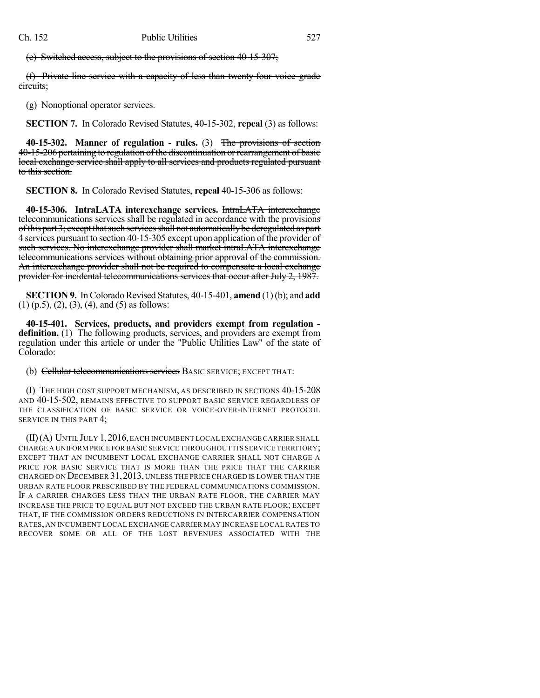(e) Switched access, subject to the provisions of section 40-15-307;

(f) Private line service with a capacity of less than twenty-four voice grade circuits;

(g) Nonoptional operator services.

**SECTION 7.** In Colorado Revised Statutes, 40-15-302, **repeal** (3) as follows:

**40-15-302. Manner of regulation - rules.** (3) The provisions of section 40-15-206 pertaining to regulation of the discontinuation or rearrangement of basic local exchange service shall apply to all services and products regulated pursuant to this section.

**SECTION 8.** In Colorado Revised Statutes, **repeal** 40-15-306 as follows:

**40-15-306. IntraLATA interexchange services.** IntraLATA interexchange telecommunications services shall be regulated in accordance with the provisions of this part 3; except that such services shall not automatically be deregulated as part 4 services pursuant to section 40-15-305 except upon application of the provider of such services. No interexchange provider shall market intraLATA interexchange telecommunications services without obtaining prior approval of the commission. An interexchange provider shall not be required to compensate a local exchange provider for incidental telecommunications services that occur after July 2, 1987.

**SECTION 9.** In Colorado Revised Statutes, 40-15-401, **amend** (1)(b); and **add** (1) (p.5), (2), (3), (4), and (5) as follows:

**40-15-401. Services, products, and providers exempt from regulation definition.** (1) The following products, services, and providers are exempt from regulation under this article or under the "Public Utilities Law" of the state of Colorado:

(b) Cellular telecommunications services BASIC SERVICE; EXCEPT THAT:

(I) THE HIGH COST SUPPORT MECHANISM, AS DESCRIBED IN SECTIONS 40-15-208 AND 40-15-502, REMAINS EFFECTIVE TO SUPPORT BASIC SERVICE REGARDLESS OF THE CLASSIFICATION OF BASIC SERVICE OR VOICE-OVER-INTERNET PROTOCOL SERVICE IN THIS PART 4;

(II)(A) UNTIL JULY 1,2016,EACH INCUMBENT LOCAL EXCHANGE CARRIER SHALL CHARGE A UNIFORM PRICE FOR BASIC SERVICE THROUGHOUT ITS SERVICE TERRITORY; EXCEPT THAT AN INCUMBENT LOCAL EXCHANGE CARRIER SHALL NOT CHARGE A PRICE FOR BASIC SERVICE THAT IS MORE THAN THE PRICE THAT THE CARRIER CHARGED ON DECEMBER 31,2013, UNLESS THE PRICE CHARGED IS LOWER THAN THE URBAN RATE FLOOR PRESCRIBED BY THE FEDERAL COMMUNICATIONS COMMISSION. IF A CARRIER CHARGES LESS THAN THE URBAN RATE FLOOR, THE CARRIER MAY INCREASE THE PRICE TO EQUAL BUT NOT EXCEED THE URBAN RATE FLOOR; EXCEPT THAT, IF THE COMMISSION ORDERS REDUCTIONS IN INTERCARRIER COMPENSATION RATES, AN INCUMBENT LOCAL EXCHANGE CARRIER MAY INCREASE LOCAL RATES TO RECOVER SOME OR ALL OF THE LOST REVENUES ASSOCIATED WITH THE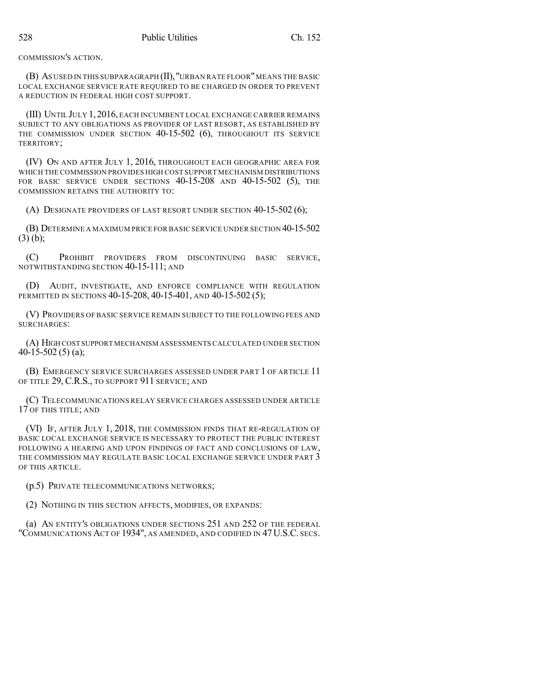COMMISSION'S ACTION.

(B) AS USED IN THIS SUBPARAGRAPH (II),"URBAN RATE FLOOR"MEANS THE BASIC LOCAL EXCHANGE SERVICE RATE REQUIRED TO BE CHARGED IN ORDER TO PREVENT A REDUCTION IN FEDERAL HIGH COST SUPPORT.

(III) UNTIL JULY 1,2016, EACH INCUMBENT LOCAL EXCHANGE CARRIER REMAINS SUBJECT TO ANY OBLIGATIONS AS PROVIDER OF LAST RESORT, AS ESTABLISHED BY THE COMMISSION UNDER SECTION 40-15-502 (6), THROUGHOUT ITS SERVICE TERRITORY;

(IV) ON AND AFTER JULY 1, 2016, THROUGHOUT EACH GEOGRAPHIC AREA FOR WHICH THE COMMISSION PROVIDES HIGH COST SUPPORT MECHANISM DISTRIBUTIONS FOR BASIC SERVICE UNDER SECTIONS 40-15-208 AND 40-15-502 (5), THE COMMISSION RETAINS THE AUTHORITY TO:

(A) DESIGNATE PROVIDERS OF LAST RESORT UNDER SECTION 40-15-502 (6);

(B) DETERMINE A MAXIMUM PRICE FOR BASIC SERVICE UNDER SECTION 40-15-502 (3) (b);

(C) PROHIBIT PROVIDERS FROM DISCONTINUING BASIC SERVICE, NOTWITHSTANDING SECTION 40-15-111; AND

(D) AUDIT, INVESTIGATE, AND ENFORCE COMPLIANCE WITH REGULATION PERMITTED IN SECTIONS 40-15-208, 40-15-401, AND 40-15-502 (5);

(V) PROVIDERS OF BASIC SERVICE REMAIN SUBJECT TO THE FOLLOWING FEES AND SURCHARGES:

(A) HIGH COST SUPPORT MECHANISM ASSESSMENTS CALCULATED UNDER SECTION 40-15-502 (5) (a);

(B) EMERGENCY SERVICE SURCHARGES ASSESSED UNDER PART 1 OF ARTICLE 11 OF TITLE 29, C.R.S., TO SUPPORT 911 SERVICE; AND

(C) TELECOMMUNICATIONS RELAY SERVICE CHARGES ASSESSED UNDER ARTICLE 17 OF THIS TITLE; AND

(VI) IF, AFTER JULY 1, 2018, THE COMMISSION FINDS THAT RE-REGULATION OF BASIC LOCAL EXCHANGE SERVICE IS NECESSARY TO PROTECT THE PUBLIC INTEREST FOLLOWING A HEARING AND UPON FINDINGS OF FACT AND CONCLUSIONS OF LAW, THE COMMISSION MAY REGULATE BASIC LOCAL EXCHANGE SERVICE UNDER PART 3 OF THIS ARTICLE.

(p.5) PRIVATE TELECOMMUNICATIONS NETWORKS;

(2) NOTHING IN THIS SECTION AFFECTS, MODIFIES, OR EXPANDS:

(a) AN ENTITY'S OBLIGATIONS UNDER SECTIONS 251 AND 252 OF THE FEDERAL "COMMUNICATIONS ACT OF 1934", AS AMENDED, AND CODIFIED IN 47U.S.C. SECS.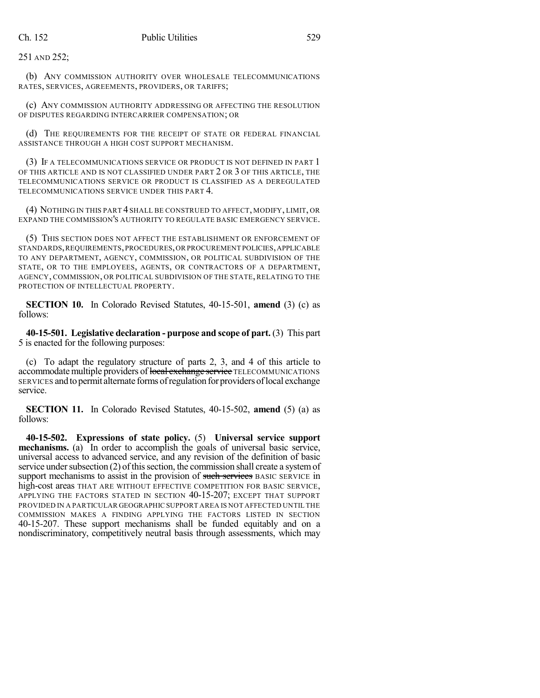251 AND 252;

(b) ANY COMMISSION AUTHORITY OVER WHOLESALE TELECOMMUNICATIONS RATES, SERVICES, AGREEMENTS, PROVIDERS, OR TARIFFS;

(c) ANY COMMISSION AUTHORITY ADDRESSING OR AFFECTING THE RESOLUTION OF DISPUTES REGARDING INTERCARRIER COMPENSATION; OR

(d) THE REQUIREMENTS FOR THE RECEIPT OF STATE OR FEDERAL FINANCIAL ASSISTANCE THROUGH A HIGH COST SUPPORT MECHANISM.

(3) IF A TELECOMMUNICATIONS SERVICE OR PRODUCT IS NOT DEFINED IN PART 1 OF THIS ARTICLE AND IS NOT CLASSIFIED UNDER PART 2 OR 3 OF THIS ARTICLE, THE TELECOMMUNICATIONS SERVICE OR PRODUCT IS CLASSIFIED AS A DEREGULATED TELECOMMUNICATIONS SERVICE UNDER THIS PART 4.

(4) NOTHING IN THIS PART 4 SHALL BE CONSTRUED TO AFFECT, MODIFY, LIMIT, OR EXPAND THE COMMISSION'S AUTHORITY TO REGULATE BASIC EMERGENCY SERVICE.

(5) THIS SECTION DOES NOT AFFECT THE ESTABLISHMENT OR ENFORCEMENT OF STANDARDS,REQUIREMENTS,PROCEDURES,OR PROCUREMENT POLICIES,APPLICABLE TO ANY DEPARTMENT, AGENCY, COMMISSION, OR POLITICAL SUBDIVISION OF THE STATE, OR TO THE EMPLOYEES, AGENTS, OR CONTRACTORS OF A DEPARTMENT, AGENCY, COMMISSION, OR POLITICAL SUBDIVISION OF THE STATE, RELATING TO THE PROTECTION OF INTELLECTUAL PROPERTY.

**SECTION 10.** In Colorado Revised Statutes, 40-15-501, **amend** (3) (c) as follows:

**40-15-501. Legislative declaration - purpose and scope of part.** (3) This part 5 is enacted for the following purposes:

(c) To adapt the regulatory structure of parts 2, 3, and 4 of this article to accommodate multiple providers of local exchange service TELECOMMUNICATIONS SERVICES and to permit alternate forms of regulation for providers of local exchange service.

**SECTION 11.** In Colorado Revised Statutes, 40-15-502, **amend** (5) (a) as follows:

**40-15-502. Expressions of state policy.** (5) **Universal service support mechanisms.** (a) In order to accomplish the goals of universal basic service, universal access to advanced service, and any revision of the definition of basic service under subsection  $(2)$  of this section, the commission shall create a system of support mechanisms to assist in the provision of such services BASIC SERVICE in high-cost areas THAT ARE WITHOUT EFFECTIVE COMPETITION FOR BASIC SERVICE, APPLYING THE FACTORS STATED IN SECTION 40-15-207; EXCEPT THAT SUPPORT PROVIDED IN A PARTICULAR GEOGRAPHIC SUPPORT AREA IS NOT AFFECTED UNTIL THE COMMISSION MAKES A FINDING APPLYING THE FACTORS LISTED IN SECTION 40-15-207. These support mechanisms shall be funded equitably and on a nondiscriminatory, competitively neutral basis through assessments, which may